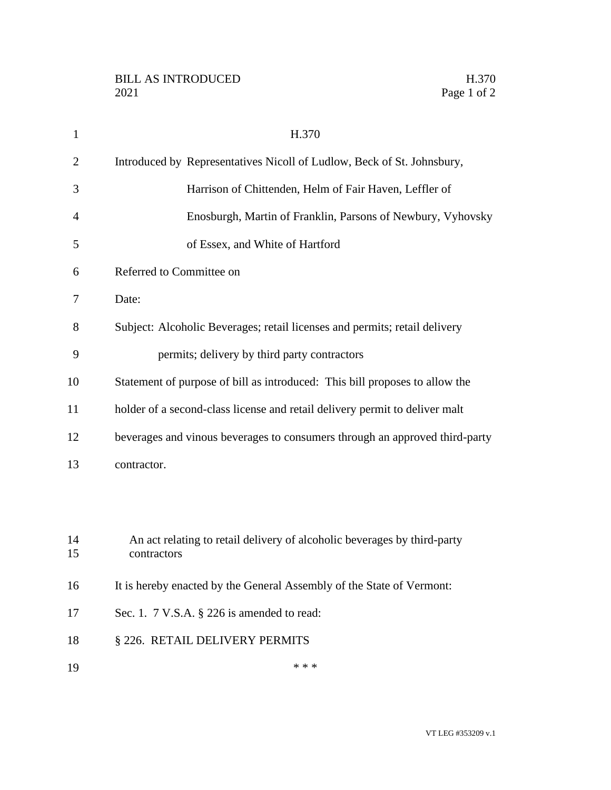| $\mathbf{1}$   | H.370                                                                                   |
|----------------|-----------------------------------------------------------------------------------------|
| $\overline{2}$ | Introduced by Representatives Nicoll of Ludlow, Beck of St. Johnsbury,                  |
| 3              | Harrison of Chittenden, Helm of Fair Haven, Leffler of                                  |
| 4              | Enosburgh, Martin of Franklin, Parsons of Newbury, Vyhovsky                             |
| 5              | of Essex, and White of Hartford                                                         |
| 6              | Referred to Committee on                                                                |
| 7              | Date:                                                                                   |
| 8              | Subject: Alcoholic Beverages; retail licenses and permits; retail delivery              |
| 9              | permits; delivery by third party contractors                                            |
| 10             | Statement of purpose of bill as introduced: This bill proposes to allow the             |
| 11             | holder of a second-class license and retail delivery permit to deliver malt             |
| 12             | beverages and vinous beverages to consumers through an approved third-party             |
| 13             | contractor.                                                                             |
|                |                                                                                         |
|                |                                                                                         |
| 14<br>15       | An act relating to retail delivery of alcoholic beverages by third-party<br>contractors |
| 16             | It is hereby enacted by the General Assembly of the State of Vermont:                   |
| 17             | Sec. 1. $7$ V.S.A. $\S$ 226 is amended to read:                                         |
| 18             | § 226. RETAIL DELIVERY PERMITS                                                          |
| 19             | * * *                                                                                   |